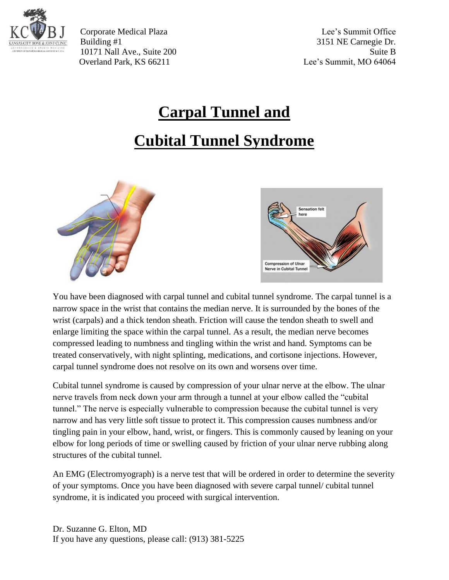

Corporate Medical Plaza Lee's Summit Office Building #1 3151 NE Carnegie Dr. 10171 Nall Ave., Suite 200 Suite B Overland Park, KS 66211 Lee's Summit, MO 64064

# **Carpal Tunnel and**

# **Cubital Tunnel Syndrome**





You have been diagnosed with carpal tunnel and cubital tunnel syndrome. The carpal tunnel is a narrow space in the wrist that contains the median nerve. It is surrounded by the bones of the wrist (carpals) and a thick tendon sheath. Friction will cause the tendon sheath to swell and enlarge limiting the space within the carpal tunnel. As a result, the median nerve becomes compressed leading to numbness and tingling within the wrist and hand. Symptoms can be treated conservatively, with night splinting, medications, and cortisone injections. However, carpal tunnel syndrome does not resolve on its own and worsens over time.

Cubital tunnel syndrome is caused by compression of your ulnar nerve at the elbow. The ulnar nerve travels from neck down your arm through a tunnel at your elbow called the "cubital tunnel." The nerve is especially vulnerable to compression because the cubital tunnel is very narrow and has very little soft tissue to protect it. This compression causes numbness and/or tingling pain in your elbow, hand, wrist, or fingers. This is commonly caused by leaning on your elbow for long periods of time or swelling caused by friction of your ulnar nerve rubbing along structures of the cubital tunnel.

An EMG (Electromyograph) is a nerve test that will be ordered in order to determine the severity of your symptoms. Once you have been diagnosed with severe carpal tunnel/ cubital tunnel syndrome, it is indicated you proceed with surgical intervention.

Dr. Suzanne G. Elton, MD If you have any questions, please call: (913) 381-5225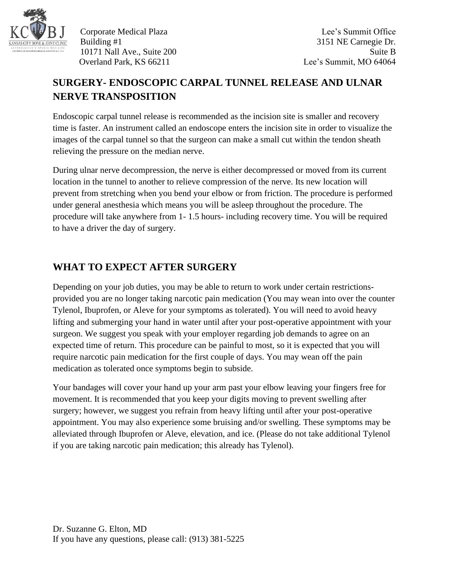

Corporate Medical Plaza Lee's Summit Office Building #1 3151 NE Carnegie Dr. 10171 Nall Ave., Suite 200 Suite B Overland Park, KS 66211 Lee's Summit, MO 64064

## **SURGERY- ENDOSCOPIC CARPAL TUNNEL RELEASE AND ULNAR NERVE TRANSPOSITION**

Endoscopic carpal tunnel release is recommended as the incision site is smaller and recovery time is faster. An instrument called an endoscope enters the incision site in order to visualize the images of the carpal tunnel so that the surgeon can make a small cut within the tendon sheath relieving the pressure on the median nerve.

During ulnar nerve decompression, the nerve is either decompressed or moved from its current location in the tunnel to another to relieve compression of the nerve. Its new location will prevent from stretching when you bend your elbow or from friction. The procedure is performed under general anesthesia which means you will be asleep throughout the procedure. The procedure will take anywhere from 1- 1.5 hours- including recovery time. You will be required to have a driver the day of surgery.

### **WHAT TO EXPECT AFTER SURGERY**

Depending on your job duties, you may be able to return to work under certain restrictionsprovided you are no longer taking narcotic pain medication (You may wean into over the counter Tylenol, Ibuprofen, or Aleve for your symptoms as tolerated). You will need to avoid heavy lifting and submerging your hand in water until after your post-operative appointment with your surgeon. We suggest you speak with your employer regarding job demands to agree on an expected time of return. This procedure can be painful to most, so it is expected that you will require narcotic pain medication for the first couple of days. You may wean off the pain medication as tolerated once symptoms begin to subside.

Your bandages will cover your hand up your arm past your elbow leaving your fingers free for movement. It is recommended that you keep your digits moving to prevent swelling after surgery; however, we suggest you refrain from heavy lifting until after your post-operative appointment. You may also experience some bruising and/or swelling. These symptoms may be alleviated through Ibuprofen or Aleve, elevation, and ice. (Please do not take additional Tylenol if you are taking narcotic pain medication; this already has Tylenol).